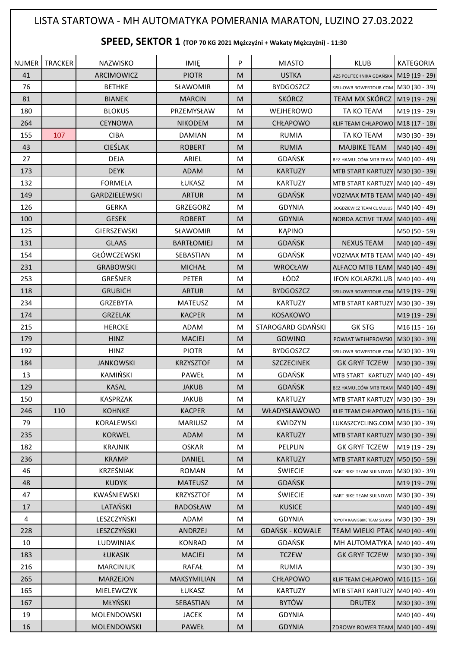## LISTA STARTOWA - MH AUTOMATYKA POMERANIA MARATON, LUZINO 27.03.2022

## **SPEED, SEKTOR 1 (TOP 70 KG 2021 Mężczyźni + Wakaty Mężczyźni) - 11:30**

|     | NUMER TRACKER | NAZWISKO           | <b>IMIE</b>       | P         | <b>MIASTO</b>          | <b>KLUB</b>                                  | KATEGORIA     |
|-----|---------------|--------------------|-------------------|-----------|------------------------|----------------------------------------------|---------------|
| 41  |               | ARCIMOWICZ         | <b>PIOTR</b>      | M         | <b>USTKA</b>           | AZS POLITECHNIKA GDAŃSKA                     | M19 (19 - 29) |
| 76  |               | <b>BETHKE</b>      | SŁAWOMIR          | M         | <b>BYDGOSZCZ</b>       | SISU-OWB ROWERTOUR.COM M30 (30 - 39)         |               |
| 81  |               | <b>BIANEK</b>      | <b>MARCIN</b>     | ${\sf M}$ | <b>SKÓRCZ</b>          | TEAM MX SKÓRCZ   M19 (19 - 29)               |               |
| 180 |               | <b>BLOKUS</b>      | PRZEMYSŁAW        | M         | WEJHEROWO              | TA KO TEAM                                   | M19 (19 - 29) |
| 264 |               | <b>CEYNOWA</b>     | <b>NIKODEM</b>    | M         | CHŁAPOWO               | KLIF TEAM CHŁAPOWO M18 (17 - 18)             |               |
| 155 | 107           | <b>CIBA</b>        | <b>DAMIAN</b>     | M         | <b>RUMIA</b>           | TA KO TEAM                                   | M30 (30 - 39) |
| 43  |               | <b>CIEŚLAK</b>     | <b>ROBERT</b>     | M         | <b>RUMIA</b>           | <b>MAJBIKE TEAM</b>                          | M40 (40 - 49) |
| 27  |               | <b>DEJA</b>        | ARIEL             | M         | <b>GDAŃSK</b>          | BEZ HAMULCÓW MTB TEAM M40 (40 - 49)          |               |
| 173 |               | <b>DEYK</b>        | ADAM              | M         | <b>KARTUZY</b>         | MTB START KARTUZY M30 (30 - 39)              |               |
| 132 |               | <b>FORMELA</b>     | ŁUKASZ            | ${\sf M}$ | <b>KARTUZY</b>         | MTB START KARTUZY M40 (40 - 49)              |               |
| 149 |               | GARDZIELEWSKI      | <b>ARTUR</b>      | M         | <b>GDAŃSK</b>          | VO2MAX MTB TEAM M40 (40 - 49)                |               |
| 126 |               | <b>GERKA</b>       | GRZEGORZ          | M         | <b>GDYNIA</b>          | BOGDZIEWICZ TEAM CUMULUS M40 (40 - 49)       |               |
| 100 |               | <b>GESEK</b>       | <b>ROBERT</b>     | M         | <b>GDYNIA</b>          | NORDA ACTIVE TEAM   M40 (40 - 49)            |               |
| 125 |               | GIERSZEWSKI        | SŁAWOMIR          | M         | <b>KAPINO</b>          |                                              | M50 (50 - 59) |
| 131 |               | <b>GLAAS</b>       | <b>BARTŁOMIEJ</b> | ${\sf M}$ | <b>GDAŃSK</b>          | <b>NEXUS TEAM</b>                            | M40 (40 - 49) |
| 154 |               | <b>GŁÓWCZEWSKI</b> | SEBASTIAN         | ${\sf M}$ | GDAŃSK                 | VO2MAX MTB TEAM M40 (40 - 49)                |               |
| 231 |               | <b>GRABOWSKI</b>   | <b>MICHAŁ</b>     | M         | WROCŁAW                | ALFACO MTB TEAM   M40 (40 - 49)              |               |
| 253 |               | GREŠNER            | PETER             | M         | ŁÓDŹ                   | IFON KOLARZKLUB   M40 (40 - 49)              |               |
| 118 |               | <b>GRUBICH</b>     | <b>ARTUR</b>      | M         | <b>BYDGOSZCZ</b>       | SISU-OWB ROWERTOUR.COM M19 (19 - 29)         |               |
| 234 |               | <b>GRZEBYTA</b>    | <b>MATEUSZ</b>    | M         | <b>KARTUZY</b>         | MTB START KARTUZY M30 (30 - 39)              |               |
| 174 |               | <b>GRZELAK</b>     | <b>KACPER</b>     | ${\sf M}$ | <b>KOSAKOWO</b>        |                                              | M19 (19 - 29) |
| 215 |               | <b>HERCKE</b>      | ADAM              | M         | STAROGARD GDAŃSKI      | <b>GK STG</b>                                | M16 (15 - 16) |
| 179 |               | <b>HINZ</b>        | <b>MACIEJ</b>     | M         | GOWINO                 | POWIAT WEJHEROWSKI M30 (30 - 39)             |               |
| 192 |               | <b>HINZ</b>        | <b>PIOTR</b>      | M         | <b>BYDGOSZCZ</b>       | SISU-OWB ROWERTOUR.COM M30 (30 - 39)         |               |
| 184 |               | <b>JANKOWSKI</b>   | <b>KRZYSZTOF</b>  | ${\sf M}$ | <b>SZCZECINEK</b>      | <b>GK GRYF TCZEW</b>                         | M30 (30 - 39) |
| 13  |               | KAMIŃSKI           | PAWEŁ             | M         | <b>GDAŃSK</b>          | MTB START KARTUZY M40 (40 - 49)              |               |
| 129 |               | <b>KASAL</b>       | <b>JAKUB</b>      | ${\sf M}$ | <b>GDAŃSK</b>          | BEZ HAMULCÓW MTB TEAM M40 (40 - 49)          |               |
| 150 |               | <b>KASPRZAK</b>    | <b>JAKUB</b>      | M         | KARTUZY                | MTB START KARTUZY M30 (30 - 39)              |               |
| 246 | 110           | <b>KOHNKE</b>      | <b>KACPER</b>     | M         | WŁADYSŁAWOWO           | KLIF TEAM CHŁAPOWO M16 (15 - 16)             |               |
| 79  |               | KORALEWSKI         | <b>MARIUSZ</b>    | M         | <b>KWIDZYN</b>         | LUKASZCYCLING.COM M30 (30 - 39)              |               |
| 235 |               | <b>KORWEL</b>      | ADAM              | M         | <b>KARTUZY</b>         | MTB START KARTUZY M30 (30 - 39)              |               |
| 182 |               | <b>KRAJNIK</b>     | <b>OSKAR</b>      | M         | PELPLIN                | GK GRYF TCZEW                                | M19 (19 - 29) |
| 236 |               | <b>KRAMP</b>       | DANIEL            | M         | <b>KARTUZY</b>         | MTB START KARTUZY M50 (50 - 59)              |               |
| 46  |               | KRZEŚNIAK          | ROMAN             | M         | <b>ŚWIECIE</b>         | BART BIKE TEAM SULNOWO   M30 (30 - 39)       |               |
| 48  |               | <b>KUDYK</b>       | <b>MATEUSZ</b>    | M         | GDAŃSK                 |                                              | M19 (19 - 29) |
| 47  |               | KWAŚNIEWSKI        | <b>KRZYSZTOF</b>  | M         | ŚWIECIE                | BART BIKE TEAM SULNOWO                       | M30 (30 - 39) |
| 17  |               | LATAŃSKI           | RADOSŁAW          | M         | <b>KUSICE</b>          |                                              | M40 (40 - 49) |
| 4   |               | LESZCZYŃSKI        | ADAM              | M         | <b>GDYNIA</b>          | TOYOTA KAWISBIKE TEAM SŁUPSK   M30 (30 - 39) |               |
| 228 |               | LESZCZYŃSKI        | ANDRZEJ           | M         | <b>GDAŃSK - KOWALE</b> | TEAM WIELKI PTAK M40 (40 - 49)               |               |
| 10  |               | LUDWINIAK          | <b>KONRAD</b>     | M         | <b>GDAŃSK</b>          | MH AUTOMATYKA   M40 (40 - 49)                |               |
| 183 |               | ŁUKASIK            | <b>MACIEJ</b>     | M         | <b>TCZEW</b>           | <b>GK GRYF TCZEW</b>                         | M30 (30 - 39) |
| 216 |               | <b>MARCINIUK</b>   | RAFAŁ             | M         | <b>RUMIA</b>           |                                              | M30 (30 - 39) |
| 265 |               | <b>MARZEJON</b>    | MAKSYMILIAN       | M         | <b>CHŁAPOWO</b>        | KLIF TEAM CHŁAPOWO M16 (15 - 16)             |               |
| 165 |               | MIELEWCZYK         | ŁUKASZ            | M         | KARTUZY                | MTB START KARTUZY M40 (40 - 49)              |               |
| 167 |               | MŁYŃSKI            | SEBASTIAN         | M         | <b>BYTÓW</b>           | <b>DRUTEX</b>                                | M30 (30 - 39) |
| 19  |               | MOLENDOWSKI        | <b>JACEK</b>      | M         | <b>GDYNIA</b>          |                                              | M40 (40 - 49) |
| 16  |               | MOLENDOWSKI        | PAWEŁ             | ${\sf M}$ | <b>GDYNIA</b>          | ZDROWY ROWER TEAM M40 (40 - 49)              |               |